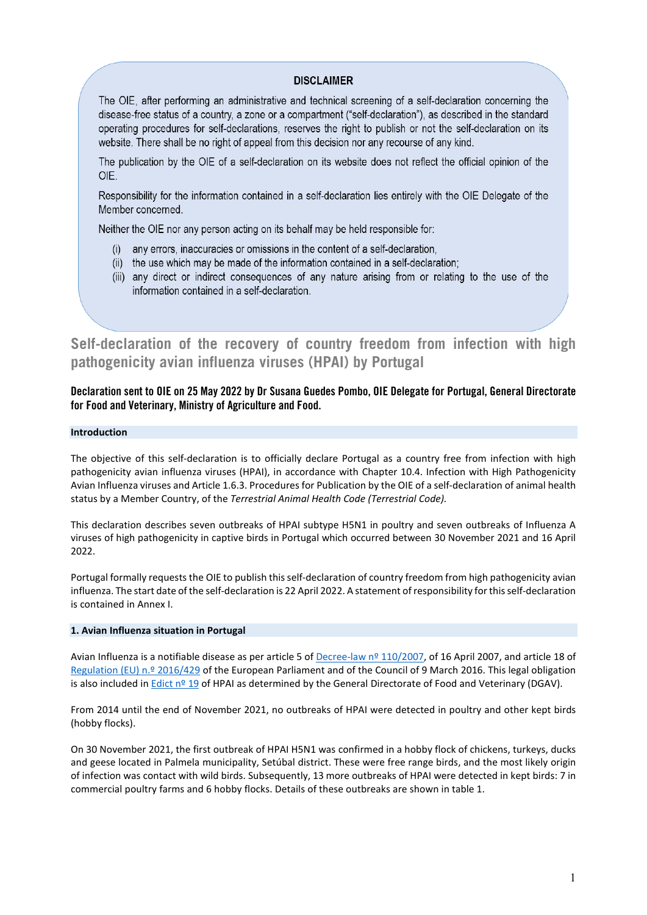### **DISCI AIMER**

The OIE, after performing an administrative and technical screening of a self-declaration concerning the disease-free status of a country, a zone or a compartment ("self-declaration"), as described in the standard operating procedures for self-declarations, reserves the right to publish or not the self-declaration on its website. There shall be no right of appeal from this decision nor any recourse of any kind.

The publication by the OIE of a self-declaration on its website does not reflect the official opinion of the OIE.

Responsibility for the information contained in a self-declaration lies entirely with the OIE Delegate of the Member concerned.

Neither the OIE nor any person acting on its behalf may be held responsible for:

- (i) any errors, inaccuracies or omissions in the content of a self-declaration,
- (ii) the use which may be made of the information contained in a self-declaration;
- (iii) any direct or indirect consequences of any nature arising from or relating to the use of the information contained in a self-declaration.

**Self-declaration of the recovery of country freedom from infection with high pathogenicity avian influenza viruses (HPAI) by Portugal**

# **Declaration sent to OIE on 25 May 2022 by Dr Susana Guedes Pombo, OIE Delegate for Portugal, General Directorate for Food and Veterinary, Ministry of Agriculture and Food.**

#### **Introduction**

The objective of this self-declaration is to officially declare Portugal as a country free from infection with high pathogenicity avian influenza viruses (HPAI), in accordance with Chapter 10.4. Infection with High Pathogenicity Avian Influenza viruses and Article 1.6.3. Procedures for Publication by the OIE of a self-declaration of animal health status by a Member Country, of the *Terrestrial Animal Health Code (Terrestrial Code).*

This declaration describes seven outbreaks of HPAI subtype H5N1 in poultry and seven outbreaks of Influenza A viruses of high pathogenicity in captive birds in Portugal which occurred between 30 November 2021 and 16 April 2022.

Portugal formally requests the OIE to publish this self-declaration of country freedom from high pathogenicity avian influenza. The start date of the self-declaration is 22 April 2022. A statement of responsibility for this self-declaration is contained in Annex I.

#### **1. Avian Influenza situation in Portugal**

Avian Influenza is a notifiable disease as per article 5 of [Decree-law nº 110/2007,](https://dre.pt/dre/legislacao-consolidada/decreto-lei/2007-158215454) of 16 April 2007, and article 18 of [Regulation \(EU\) n.º 2016/429](https://eur-lex.europa.eu/legal-content/EN/TXT/?uri=CELEX%3A02016R0429-20210421&qid=1653406670537) of the European Parliament and of the Council of 9 March 2016. This legal obligation is also included in [Edict nº 19](https://www.dgav.pt/wp-content/uploads/2022/05/Edital-19_gaap.pdf) of HPAI as determined by the General Directorate of Food and Veterinary (DGAV).

From 2014 until the end of November 2021, no outbreaks of HPAI were detected in poultry and other kept birds (hobby flocks).

On 30 November 2021, the first outbreak of HPAI H5N1 was confirmed in a hobby flock of chickens, turkeys, ducks and geese located in Palmela municipality, Setúbal district. These were free range birds, and the most likely origin of infection was contact with wild birds. Subsequently, 13 more outbreaks of HPAI were detected in kept birds: 7 in commercial poultry farms and 6 hobby flocks. Details of these outbreaks are shown in table 1.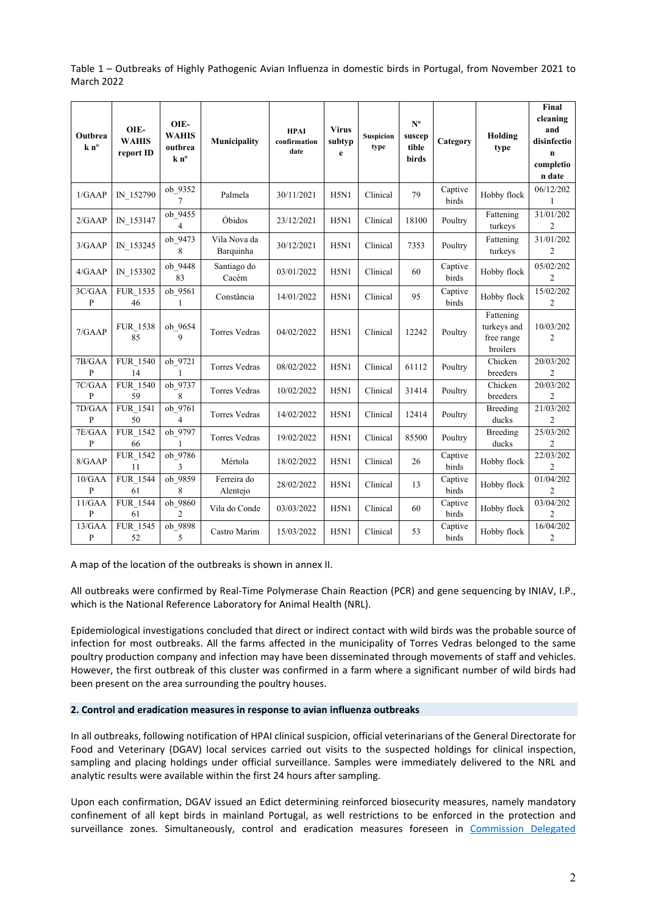Table 1 – Outbreaks of Highly Pathogenic Avian Influenza in domestic birds in Portugal, from November 2021 to March 2022

| Outbrea<br>k n <sup>o</sup> | OIE-<br><b>WAHIS</b><br>report ID | OIE-<br><b>WAHIS</b><br>outbrea<br>k n <sup>o</sup> | <b>Municipality</b>       | <b>HPAI</b><br>confirmation<br>date | <b>Virus</b><br>subtyp<br>e | <b>Suspicion</b><br>type | $N^{\rm o}$<br>suscep<br>tible<br>birds | Category                | Holding<br>type                                    | Final<br>cleaning<br>and<br>disinfectio<br>$\mathbf n$<br>completio<br>n date |
|-----------------------------|-----------------------------------|-----------------------------------------------------|---------------------------|-------------------------------------|-----------------------------|--------------------------|-----------------------------------------|-------------------------|----------------------------------------------------|-------------------------------------------------------------------------------|
| 1/GAAP                      | IN 152790                         | ob 9352<br>7                                        | Palmela                   | 30/11/2021                          | H5N1                        | Clinical                 | 79                                      | Captive<br>birds        | Hobby flock                                        | 06/12/202<br>1                                                                |
| 2/GAAP                      | IN 153147                         | ob 9455<br>4                                        | Óbidos                    | 23/12/2021                          | H5N1                        | Clinical                 | 18100                                   | Poultry                 | Fattening<br>turkeys                               | 31/01/202<br>$\overline{c}$                                                   |
| 3/GAAP                      | IN 153245                         | ob 9473<br>8                                        | Vila Nova da<br>Barquinha | 30/12/2021                          | H5N1                        | Clinical                 | 7353                                    | Poultry                 | Fattening<br>turkeys                               | 31/01/202<br>2                                                                |
| 4/GAAP                      | IN 153302                         | ob 9448<br>83                                       | Santiago do<br>Cacém      | 03/01/2022                          | H5N1                        | Clinical                 | 60                                      | Captive<br>birds        | Hobby flock                                        | 05/02/202<br>$\overline{c}$                                                   |
| 3C/GAA<br>P                 | FUR 1535<br>46                    | ob 9561<br>$\mathbf{1}$                             | Constância                | 14/01/2022                          | H5N1                        | Clinical                 | 95                                      | Captive<br>birds        | Hobby flock                                        | 15/02/202<br>$\overline{c}$                                                   |
| 7/GAAP                      | FUR 1538<br>85                    | ob 9654<br>9                                        | <b>Torres Vedras</b>      | 04/02/2022                          | H5N1                        | Clinical                 | 12242                                   | Poultry                 | Fattening<br>turkeys and<br>free range<br>broilers | 10/03/202<br>$\overline{c}$                                                   |
| 7B/GAA<br>P                 | <b>FUR 1540</b><br>14             | ob_9721<br>1                                        | <b>Torres Vedras</b>      | 08/02/2022                          | H5N1                        | Clinical                 | 61112                                   | Poultry                 | Chicken<br>breeders                                | 20/03/202<br>$\overline{c}$                                                   |
| 7C/GAA<br>$\mathbf{P}$      | <b>FUR 1540</b><br>59             | ob 9737<br>8                                        | <b>Torres Vedras</b>      | 10/02/2022                          | H5N1                        | Clinical                 | 31414                                   | Poultry                 | Chicken<br>breeders                                | 20/03/202<br>$\overline{c}$                                                   |
| 7D/GAA<br>$\mathbf{P}$      | <b>FUR 1541</b><br>50             | ob 9761<br>4                                        | <b>Torres Vedras</b>      | 14/02/2022                          | H5N1                        | Clinical                 | 12414                                   | Poultry                 | Breeding<br>ducks                                  | 21/03/202<br>$\overline{c}$                                                   |
| 7E/GAA<br>P                 | FUR_1542<br>66                    | ob_9797<br>1                                        | <b>Torres Vedras</b>      | 19/02/2022                          | H5N1                        | Clinical                 | 85500                                   | Poultry                 | Breeding<br>ducks                                  | 25/03/202<br>$\overline{c}$                                                   |
| 8/GAAP                      | FUR_1542<br>11                    | ob_9786<br>3                                        | Mértola                   | 18/02/2022                          | H5N1                        | Clinical                 | 26                                      | Captive<br><b>birds</b> | Hobby flock                                        | 22/03/202<br>$\overline{c}$                                                   |
| 10/GAA<br>P                 | <b>FUR 1544</b><br>61             | ob 9859<br>8                                        | Ferreira do<br>Alentejo   | 28/02/2022                          | H5N1                        | Clinical                 | 13                                      | Captive<br>birds        | Hobby flock                                        | 01/04/202<br>$\overline{c}$                                                   |
| 11/GAA<br>P                 | <b>FUR 1544</b><br>61             | ob 9860<br>2                                        | Vila do Conde             | 03/03/2022                          | H5N1                        | Clinical                 | 60                                      | Captive<br>birds        | Hobby flock                                        | 03/04/202<br>$\overline{c}$                                                   |
| 13/GAA<br>$\mathbf{P}$      | FUR 1545<br>52                    | ob_9898<br>5                                        | Castro Marim              | 15/03/2022                          | H5N1                        | Clinical                 | 53                                      | Captive<br>birds        | Hobby flock                                        | 16/04/202<br>$\overline{c}$                                                   |

A map of the location of the outbreaks is shown in annex II.

All outbreaks were confirmed by Real-Time Polymerase Chain Reaction (PCR) and gene sequencing by INIAV, I.P., which is the National Reference Laboratory for Animal Health (NRL).

Epidemiological investigations concluded that direct or indirect contact with wild birds was the probable source of infection for most outbreaks. All the farms affected in the municipality of Torres Vedras belonged to the same poultry production company and infection may have been disseminated through movements of staff and vehicles. However, the first outbreak of this cluster was confirmed in a farm where a significant number of wild birds had been present on the area surrounding the poultry houses.

### **2. Control and eradication measures in response to avian influenza outbreaks**

In all outbreaks, following notification of HPAI clinical suspicion, official veterinarians of the General Directorate for Food and Veterinary (DGAV) local services carried out visits to the suspected holdings for clinical inspection, sampling and placing holdings under official surveillance. Samples were immediately delivered to the NRL and analytic results were available within the first 24 hours after sampling.

Upon each confirmation, DGAV issued an Edict determining reinforced biosecurity measures, namely mandatory confinement of all kept birds in mainland Portugal, as well restrictions to be enforced in the protection and surveillance zones. Simultaneously, control and eradication measures foreseen in [Commission Delegated](https://eur-lex.europa.eu/legal-content/EN/TXT/?uri=CELEX%3A02020R0687-20210714&qid=1653406752816)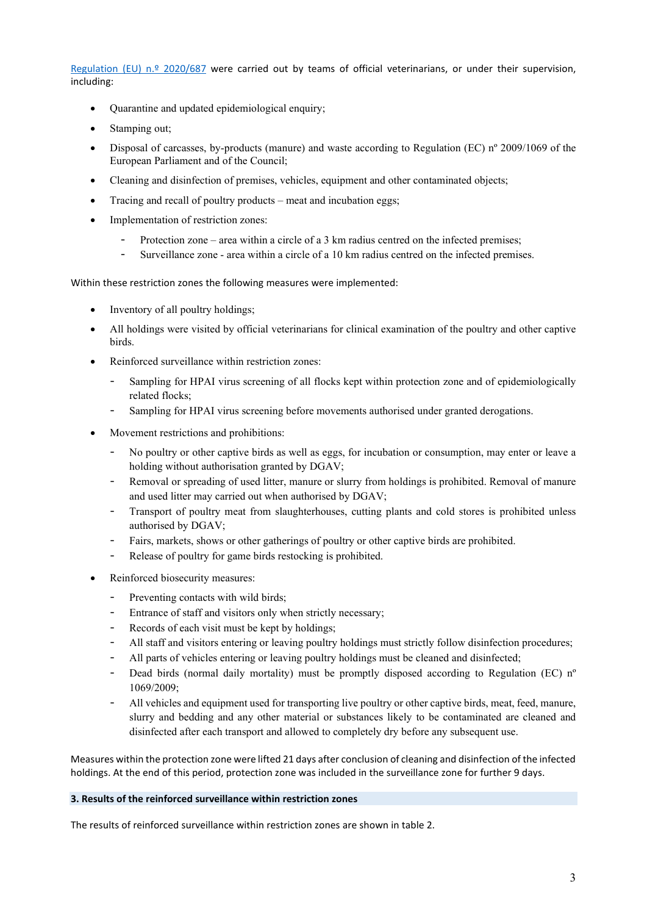[Regulation \(EU\) n.º 2020/687](https://eur-lex.europa.eu/legal-content/EN/TXT/?uri=CELEX%3A02020R0687-20210714&qid=1653406752816) were carried out by teams of official veterinarians, or under their supervision, including:

- Quarantine and updated epidemiological enquiry;
- Stamping out;
- Disposal of carcasses, by-products (manure) and waste according to Regulation (EC) nº 2009/1069 of the European Parliament and of the Council;
- Cleaning and disinfection of premises, vehicles, equipment and other contaminated objects;
- Tracing and recall of poultry products meat and incubation eggs;
- Implementation of restriction zones:
	- Protection zone area within a circle of a 3 km radius centred on the infected premises;
	- Surveillance zone area within a circle of a 10 km radius centred on the infected premises.

Within these restriction zones the following measures were implemented:

- Inventory of all poultry holdings;
- All holdings were visited by official veterinarians for clinical examination of the poultry and other captive birds.
- Reinforced surveillance within restriction zones:
	- Sampling for HPAI virus screening of all flocks kept within protection zone and of epidemiologically related flocks;
	- Sampling for HPAI virus screening before movements authorised under granted derogations.
- Movement restrictions and prohibitions:
	- No poultry or other captive birds as well as eggs, for incubation or consumption, may enter or leave a holding without authorisation granted by DGAV;
	- Removal or spreading of used litter, manure or slurry from holdings is prohibited. Removal of manure and used litter may carried out when authorised by DGAV;
	- Transport of poultry meat from slaughterhouses, cutting plants and cold stores is prohibited unless authorised by DGAV;
	- Fairs, markets, shows or other gatherings of poultry or other captive birds are prohibited.
	- Release of poultry for game birds restocking is prohibited.
- Reinforced biosecurity measures:
	- Preventing contacts with wild birds;
	- Entrance of staff and visitors only when strictly necessary;
	- Records of each visit must be kept by holdings;
	- All staff and visitors entering or leaving poultry holdings must strictly follow disinfection procedures;
	- All parts of vehicles entering or leaving poultry holdings must be cleaned and disinfected;
	- Dead birds (normal daily mortality) must be promptly disposed according to Regulation (EC) nº 1069/2009;
	- All vehicles and equipment used for transporting live poultry or other captive birds, meat, feed, manure, slurry and bedding and any other material or substances likely to be contaminated are cleaned and disinfected after each transport and allowed to completely dry before any subsequent use.

Measures within the protection zone were lifted 21 days after conclusion of cleaning and disinfection of the infected holdings. At the end of this period, protection zone was included in the surveillance zone for further 9 days.

### **3. Results of the reinforced surveillance within restriction zones**

The results of reinforced surveillance within restriction zones are shown in table 2.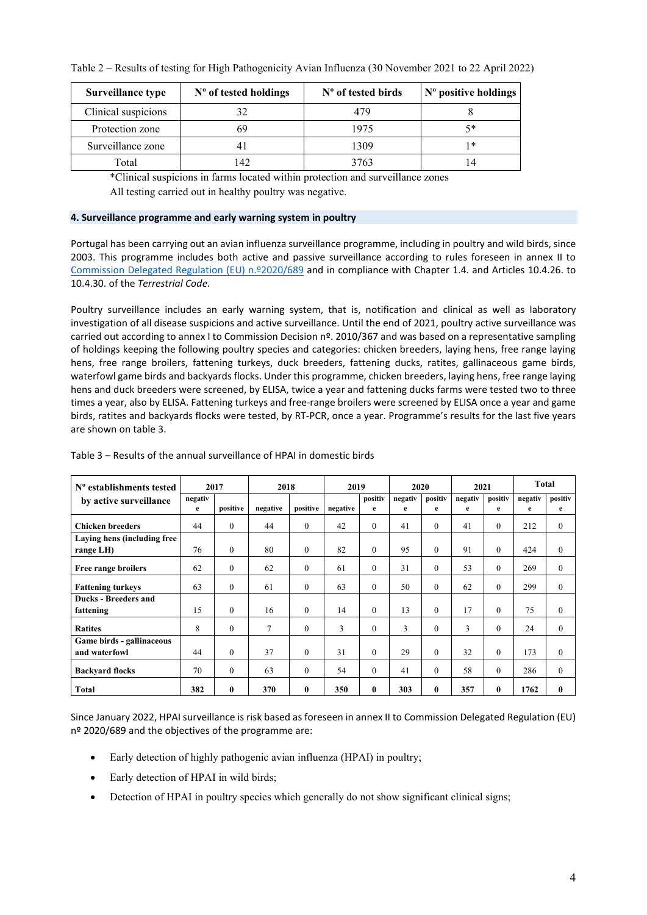| Surveillance type   | N° of tested holdings | N° of tested birds | N° positive holdings |
|---------------------|-----------------------|--------------------|----------------------|
| Clinical suspicions | 32                    | 479                |                      |
| Protection zone     | 69                    | 1975               | 5*                   |
| Surveillance zone   | 4                     | 1309               | 1*                   |
| Total               | $ 42\rangle$          | 3763               |                      |

\*Clinical suspicions in farms located within protection and surveillance zones All testing carried out in healthy poultry was negative.

#### **4. Surveillance programme and early warning system in poultry**

Portugal has been carrying out an avian influenza surveillance programme, including in poultry and wild birds, since 2003. This programme includes both active and passive surveillance according to rules foreseen in annex II to [Commission Delegated Regulation \(EU\) n.º2020/689](https://eur-lex.europa.eu/legal-content/EN/TXT/?uri=CELEX%3A02020R0689-20210421&qid=1653406795398) and in compliance with Chapter 1.4. and Articles 10.4.26. to 10.4.30. of the *Terrestrial Code.*

Poultry surveillance includes an early warning system, that is, notification and clinical as well as laboratory investigation of all disease suspicions and active surveillance. Until the end of 2021, poultry active surveillance was carried out according to annex I to Commission Decision nº. 2010/367 and was based on a representative sampling of holdings keeping the following poultry species and categories: chicken breeders, laying hens, free range laying hens, free range broilers, fattening turkeys, duck breeders, fattening ducks, ratites, gallinaceous game birds, waterfowl game birds and backyards flocks. Under this programme, chicken breeders, laying hens, free range laying hens and duck breeders were screened, by ELISA, twice a year and fattening ducks farms were tested two to three times a year, also by ELISA. Fattening turkeys and free-range broilers were screened by ELISA once a year and game birds, ratites and backyards flocks were tested, by RT-PCR, once a year. Programme's results for the last five years are shown on table 3.

| $No$ establishments tested  | 2017    |              | 2018           |              | 2019     |          | 2020    |                | 2021    |              | <b>Total</b> |              |
|-----------------------------|---------|--------------|----------------|--------------|----------|----------|---------|----------------|---------|--------------|--------------|--------------|
| by active surveillance      | negativ |              |                |              |          | positiv  | negativ | positiv        | negativ | positiv      | negativ      | positiv      |
|                             | e       | positive     | negative       | positive     | negative | e        | e       | e              | e       | e            | e            | e            |
| <b>Chicken breeders</b>     | 44      | $\mathbf{0}$ | 44             | $\theta$     | 42       | $\theta$ | 41      | $\mathbf{0}$   | 41      | $\mathbf{0}$ | 212          | $\mathbf{0}$ |
| Laying hens (including free |         |              |                |              |          |          |         |                |         |              |              |              |
| range LH)                   | 76      | $\mathbf{0}$ | 80             | $\mathbf{0}$ | 82       | $\theta$ | 95      | $\mathbf{0}$   | 91      | $\mathbf{0}$ | 424          | $\mathbf{0}$ |
| Free range broilers         | 62      | $\theta$     | 62             | $\theta$     | 61       | $\theta$ | 31      | $\mathbf{0}$   | 53      | $\theta$     | 269          | $\theta$     |
| <b>Fattening turkeys</b>    | 63      | $\theta$     | 61             | $\theta$     | 63       | $\theta$ | 50      | $\overline{0}$ | 62      | $\theta$     | 299          | $\theta$     |
| Ducks - Breeders and        |         |              |                |              |          |          |         |                |         |              |              |              |
| fattening                   | 15      | $\theta$     | 16             | $\theta$     | 14       | $\theta$ | 13      | $\Omega$       | 17      | $\theta$     | 75           | $\theta$     |
| <b>Ratites</b>              | 8       | $\Omega$     | $\overline{7}$ | $\theta$     | 3        | $\Omega$ | 3       | $\theta$       | 3       | $\theta$     | 24           | $\theta$     |
| Game birds - gallinaceous   |         |              |                |              |          |          |         |                |         |              |              |              |
| and waterfowl               | 44      | $\Omega$     | 37             | $\theta$     | 31       | $\theta$ | 29      | $\Omega$       | 32      | $\theta$     | 173          | $\theta$     |
| <b>Backyard flocks</b>      | 70      | $\Omega$     | 63             | $\theta$     | 54       | $\Omega$ | 41      | $\Omega$       | 58      | $\theta$     | 286          | $\Omega$     |
| <b>Total</b>                | 382     | $\mathbf{0}$ | 370            | $\mathbf{0}$ | 350      | 0        | 303     | $\bf{0}$       | 357     | $\bf{0}$     | 1762         | $\mathbf{0}$ |

Table 3 – Results of the annual surveillance of HPAI in domestic birds

Since January 2022, HPAI surveillance is risk based as foreseen in annex II to Commission Delegated Regulation (EU) nº 2020/689 and the objectives of the programme are:

- Early detection of highly pathogenic avian influenza (HPAI) in poultry;
- Early detection of HPAI in wild birds;
- Detection of HPAI in poultry species which generally do not show significant clinical signs;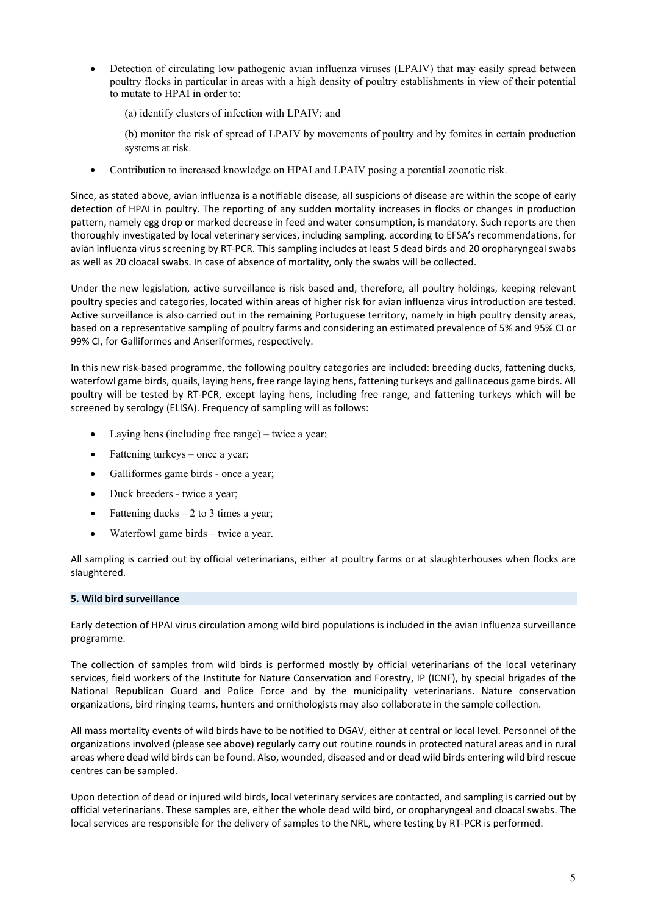- Detection of circulating low pathogenic avian influenza viruses (LPAIV) that may easily spread between poultry flocks in particular in areas with a high density of poultry establishments in view of their potential to mutate to HPAI in order to:
	- (a) identify clusters of infection with LPAIV; and
	- (b) monitor the risk of spread of LPAIV by movements of poultry and by fomites in certain production systems at risk.
- Contribution to increased knowledge on HPAI and LPAIV posing a potential zoonotic risk.

Since, as stated above, avian influenza is a notifiable disease, all suspicions of disease are within the scope of early detection of HPAI in poultry. The reporting of any sudden mortality increases in flocks or changes in production pattern, namely egg drop or marked decrease in feed and water consumption, is mandatory. Such reports are then thoroughly investigated by local veterinary services, including sampling, according to EFSA's recommendations, for avian influenza virus screening by RT-PCR. This sampling includes at least 5 dead birds and 20 oropharyngeal swabs as well as 20 cloacal swabs. In case of absence of mortality, only the swabs will be collected.

Under the new legislation, active surveillance is risk based and, therefore, all poultry holdings, keeping relevant poultry species and categories, located within areas of higher risk for avian influenza virus introduction are tested. Active surveillance is also carried out in the remaining Portuguese territory, namely in high poultry density areas, based on a representative sampling of poultry farms and considering an estimated prevalence of 5% and 95% CI or 99% CI, for Galliformes and Anseriformes, respectively.

In this new risk-based programme, the following poultry categories are included: breeding ducks, fattening ducks, waterfowl game birds, quails, laying hens, free range laying hens, fattening turkeys and gallinaceous game birds. All poultry will be tested by RT-PCR, except laying hens, including free range, and fattening turkeys which will be screened by serology (ELISA). Frequency of sampling will as follows:

- Laying hens (including free range) twice a year;
- Fattening turkeys once a year;
- Galliformes game birds once a year;
- Duck breeders twice a year;
- Fattening ducks  $-2$  to 3 times a year;
- Waterfowl game birds twice a year.

All sampling is carried out by official veterinarians, either at poultry farms or at slaughterhouses when flocks are slaughtered.

### **5. Wild bird surveillance**

Early detection of HPAI virus circulation among wild bird populations is included in the avian influenza surveillance programme.

The collection of samples from wild birds is performed mostly by official veterinarians of the local veterinary services, field workers of the Institute for Nature Conservation and Forestry, IP (ICNF), by special brigades of the National Republican Guard and Police Force and by the municipality veterinarians. Nature conservation organizations, bird ringing teams, hunters and ornithologists may also collaborate in the sample collection.

All mass mortality events of wild birds have to be notified to DGAV, either at central or local level. Personnel of the organizations involved (please see above) regularly carry out routine rounds in protected natural areas and in rural areas where dead wild birds can be found. Also, wounded, diseased and or dead wild birds entering wild bird rescue centres can be sampled.

Upon detection of dead or injured wild birds, local veterinary services are contacted, and sampling is carried out by official veterinarians. These samples are, either the whole dead wild bird, or oropharyngeal and cloacal swabs. The local services are responsible for the delivery of samples to the NRL, where testing by RT-PCR is performed.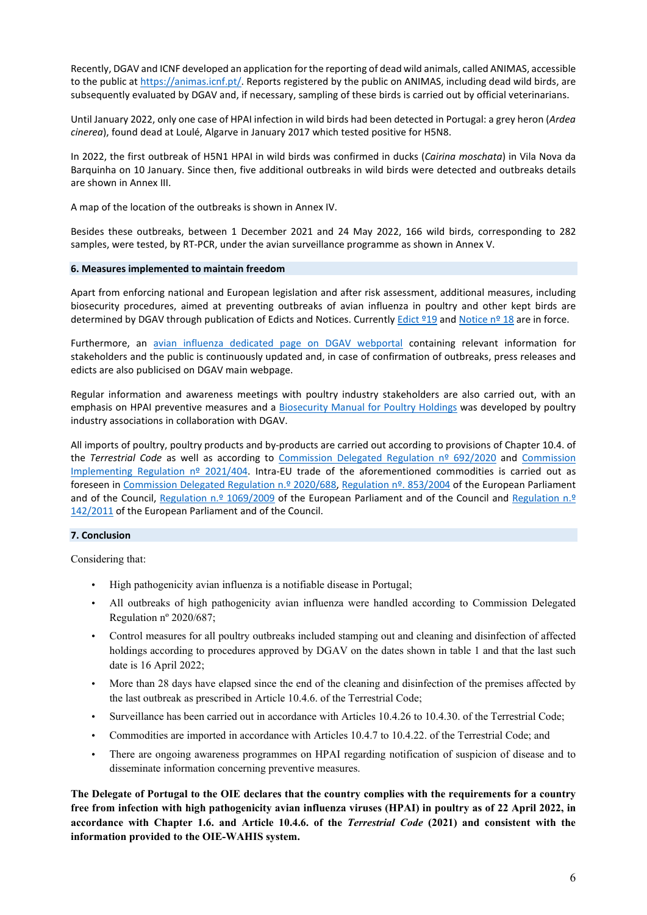Recently, DGAV and ICNF developed an application for the reporting of dead wild animals, called ANIMAS, accessible to the public at [https://animas.icnf.pt/.](https://animas.icnf.pt/) Reports registered by the public on ANIMAS, including dead wild birds, are subsequently evaluated by DGAV and, if necessary, sampling of these birds is carried out by official veterinarians.

Until January 2022, only one case of HPAI infection in wild birds had been detected in Portugal: a grey heron (*Ardea cinerea*), found dead at Loulé, Algarve in January 2017 which tested positive for H5N8.

In 2022, the first outbreak of H5N1 HPAI in wild birds was confirmed in ducks (*Cairina moschata*) in Vila Nova da Barquinha on 10 January. Since then, five additional outbreaks in wild birds were detected and outbreaks details are shown in Annex III.

A map of the location of the outbreaks is shown in Annex IV.

Besides these outbreaks, between 1 December 2021 and 24 May 2022, 166 wild birds, corresponding to 282 samples, were tested, by RT-PCR, under the avian surveillance programme as shown in Annex V.

### **6. Measures implemented to maintain freedom**

Apart from enforcing national and European legislation and after risk assessment, additional measures, including biosecurity procedures, aimed at preventing outbreaks of avian influenza in poultry and other kept birds are determined by DGAV through publication of Edicts and Notices. Currently Edict <sup>o</sup>19 and Notice n<sup>o</sup> 18 are in force.

Furthermore, an [avian influenza dedicated page on DGAV webportal](https://www.dgav.pt/animais/conteudo/animais-de-producao/aves-de-capoeira/saude-animal/doencas-das-aves/gripe-aviaria/) containing relevant information for stakeholders and the public is continuously updated and, in case of confirmation of outbreaks, press releases and edicts are also publicised on DGAV main webpage.

Regular information and awareness meetings with poultry industry stakeholders are also carried out, with an emphasis on HPAI preventive measures and a Biosecurity [Manual for Poultry Holdings](https://www.dgav.pt/wp-content/uploads/2021/10/Web_Manual-de-Biosseguranca_Avicultura.pdf) was developed by poultry industry associations in collaboration with DGAV.

All imports of poultry, poultry products and by-products are carried out according to provisions of Chapter 10.4. of the *Terrestrial Code* as well as according to [Commission Delegated Regulation nº 692/2020](https://eur-lex.europa.eu/legal-content/EN/TXT/?uri=CELEX%3A02020R0692-20220120&qid=1653407116097) and Commission [Implementing Regulation nº 2021/404.](https://eur-lex.europa.eu/legal-content/EN/TXT/?uri=CELEX%3A02021R0404-20211210&qid=1653407177263) Intra-EU trade of the aforementioned commodities is carried out as foreseen in [Commission Delegated Regulation n.º 2020/688,](https://eur-lex.europa.eu/legal-content/EN/TXT/?uri=CELEX%3A02020R0688-20210927&qid=1653407076018) [Regulation nº. 853/2004](https://eur-lex.europa.eu/legal-content/EN/TXT/?uri=CELEX%3A02004R0853-20211028&qid=1653407215342) of the European Parliament and of the Council, [Regulation n.º 1069/2009](https://eur-lex.europa.eu/legal-content/EN/TXT/?uri=CELEX%3A02009R1069-20191214&qid=1653407264195) of the European Parliament and of the Council and Regulation n.º [142/2011](https://eur-lex.europa.eu/search.html?DTA=2011&SUBDOM_INIT=ALL_ALL&DB_TYPE_OF_ACT=regulation&DTS_SUBDOM=ALL_ALL&typeOfActStatus=REGULATION&DTS_DOM=ALL&lang=pt&type=advanced&qid=1653408240869&DTN=0142) of the European Parliament and of the Council.

#### **7. Conclusion**

Considering that:

- High pathogenicity avian influenza is a notifiable disease in Portugal;
- All outbreaks of high pathogenicity avian influenza were handled according to Commission Delegated Regulation nº 2020/687;
- Control measures for all poultry outbreaks included stamping out and cleaning and disinfection of affected holdings according to procedures approved by DGAV on the dates shown in table 1 and that the last such date is 16 April 2022;
- More than 28 days have elapsed since the end of the cleaning and disinfection of the premises affected by the last outbreak as prescribed in Article 10.4.6. of the Terrestrial Code;
- Surveillance has been carried out in accordance with Articles 10.4.26 to 10.4.30. of the Terrestrial Code;
- Commodities are imported in accordance with Articles 10.4.7 to 10.4.22. of the Terrestrial Code; and
- There are ongoing awareness programmes on HPAI regarding notification of suspicion of disease and to disseminate information concerning preventive measures.

**The Delegate of Portugal to the OIE declares that the country complies with the requirements for a country free from infection with high pathogenicity avian influenza viruses (HPAI) in poultry as of 22 April 2022, in accordance with Chapter 1.6. and Article 10.4.6. of the** *Terrestrial Code* **(2021) and consistent with the information provided to the OIE-WAHIS system.**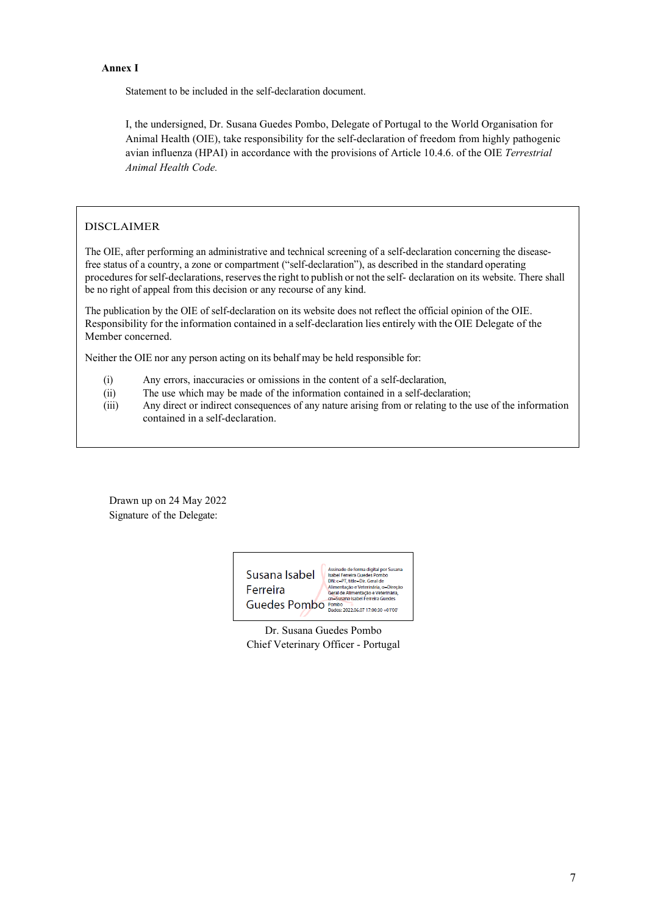### **Annex I**

Statement to be included in the self-declaration document.

I, the undersigned, Dr. Susana Guedes Pombo, Delegate of Portugal to the World Organisation for Animal Health (OIE), take responsibility for the self-declaration of freedom from highly pathogenic avian influenza (HPAI) in accordance with the provisions of Article 10.4.6. of the OIE *Terrestrial Animal Health Code.*

# DISCLAIMER

The OIE, after performing an administrative and technical screening of a self-declaration concerning the diseasefree status of a country, a zone or compartment ("self-declaration"), as described in the standard operating proceduresforself-declarations, reservesthe right to publish or not the self- declaration on its website. There shall be no right of appeal from this decision or any recourse of any kind.

The publication by the OIE of self-declaration on its website does not reflect the official opinion of the OIE. Responsibility for the information contained in a self-declaration lies entirely with the OIE Delegate of the Member concerned.

Neither the OIE nor any person acting on its behalf may be held responsible for:

- (i) Any errors, inaccuracies or omissions in the content of a self-declaration,
- (ii) The use which may be made of the information contained in a self-declaration;

(iii) Any direct or indirect consequences of any nature arising from or relating to the use of the information contained in a self-declaration.

Drawn up on 24 May 2022 Signature of the Delegate:



Dr. Susana Guedes Pombo Chief Veterinary Officer - Portugal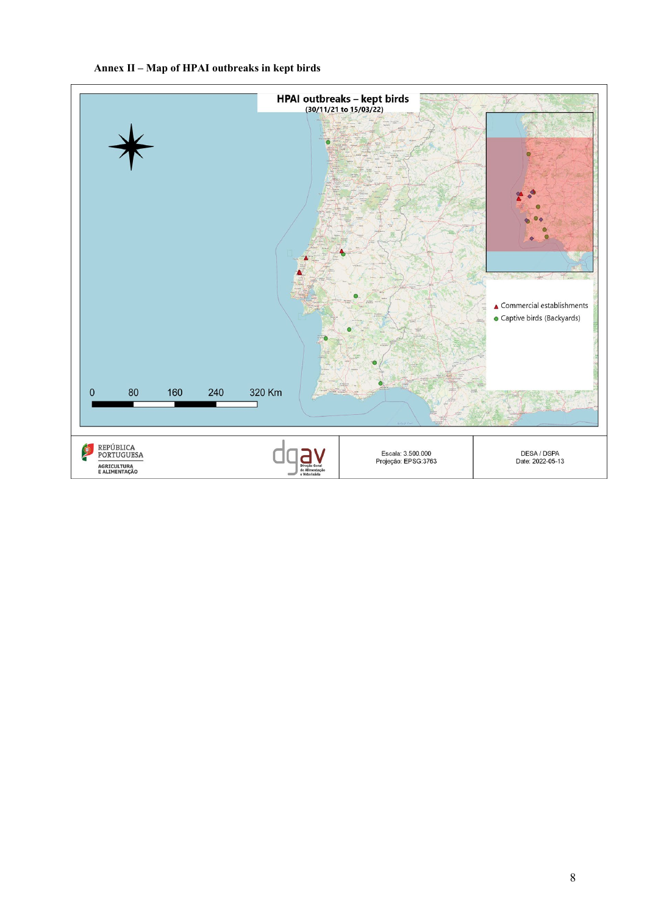

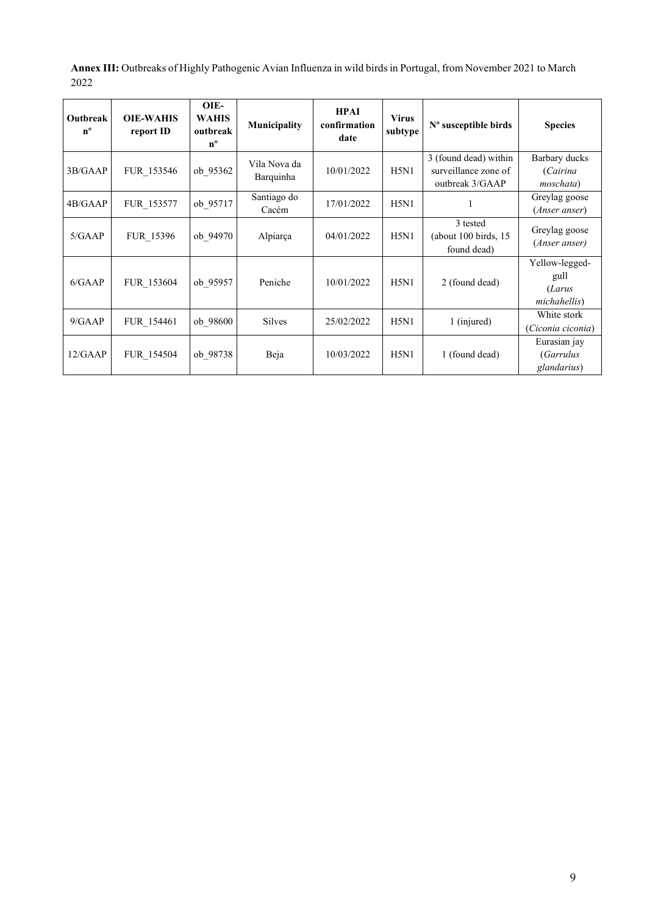**Annex III:** Outbreaks of Highly Pathogenic Avian Influenza in wild birds in Portugal, from November 2021 to March 2022

| Outbreak<br>$n^{\circ}$ | <b>OIE-WAHIS</b><br>report ID | OIE-<br><b>WAHIS</b><br>outbreak<br>$n^{\circ}$ | Municipality              | <b>HPAI</b><br>confirmation<br>date | <b>Virus</b><br>subtype | $No$ susceptible birds                                           | <b>Species</b>                                   |
|-------------------------|-------------------------------|-------------------------------------------------|---------------------------|-------------------------------------|-------------------------|------------------------------------------------------------------|--------------------------------------------------|
| 3B/GAAP                 | FUR 153546                    | ob 95362                                        | Vila Nova da<br>Barquinha | 10/01/2022                          | H5N1                    | 3 (found dead) within<br>surveillance zone of<br>outbreak 3/GAAP | Barbary ducks<br>(Cairina<br>moschata)           |
| 4B/GAAP                 | FUR 153577                    | ob 95717                                        | Santiago do<br>Cacém      | 17/01/2022                          | H5N1                    |                                                                  | Greylag goose<br>( <i>Anser anser</i> )          |
| 5/GAAP                  | FUR 15396                     | ob 94970                                        | Alpiarça                  | 04/01/2022                          | H5N1                    | 3 tested<br>(about 100 birds, 15<br>found dead)                  | Greylag goose<br>(Anser anser)                   |
| 6/GAAP                  | FUR 153604                    | ob 95957                                        | Peniche                   | 10/01/2022                          | H5N1                    | 2 (found dead)                                                   | Yellow-legged-<br>gull<br>(Larus<br>michahellis) |
| 9/GAAP                  | FUR 154461                    | ob 98600                                        | <b>Silves</b>             | 25/02/2022                          | H5N1                    | 1 (injured)                                                      | White stork<br>(Ciconia ciconia)                 |
| 12/GAAP                 | FUR 154504                    | ob 98738                                        | Beja                      | 10/03/2022                          | H5N1                    | 1 (found dead)                                                   | Eurasian jay<br><i>(Garrulus</i><br>glandarius)  |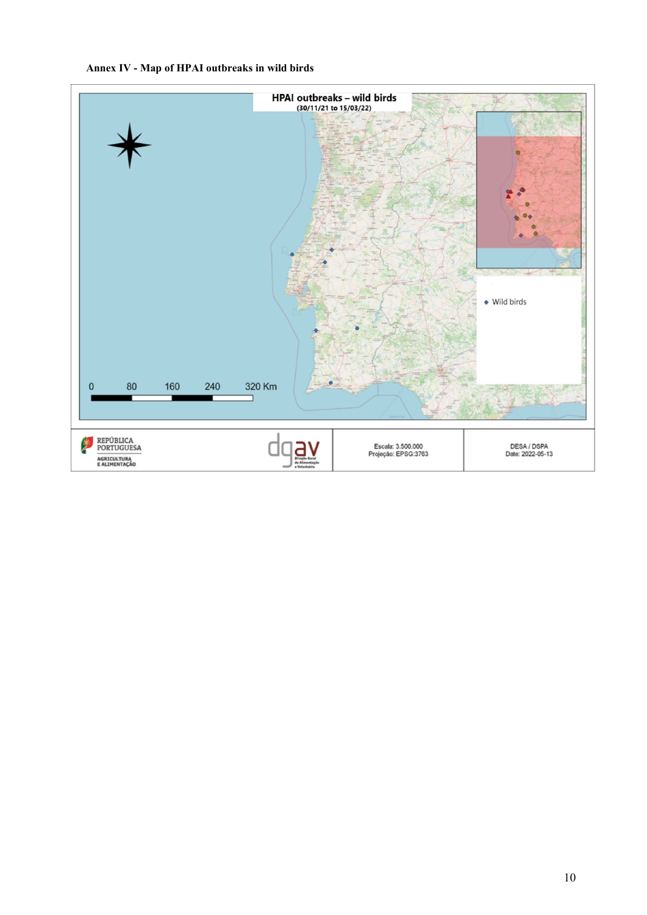# **Annex IV - Map of HPAI outbreaks in wild birds**